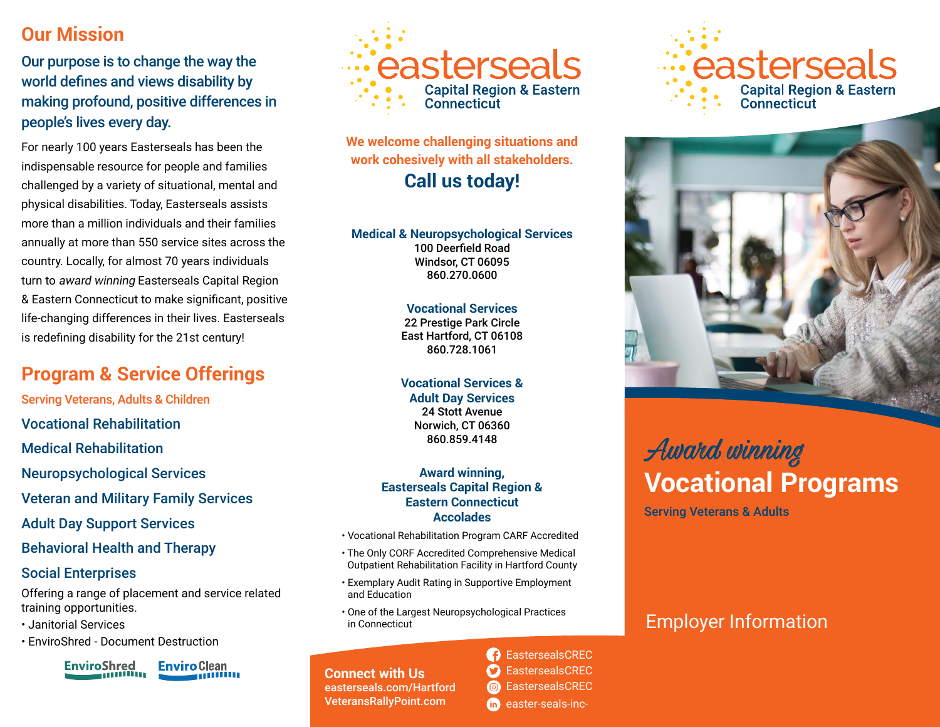## **Our Mission**

Our purpose is to change the way the world defines and views disability by making profound, positive differences in people's lives every day.

For nearly 100 years Easterseals has been the indispensable resource for people and families challenged by a variety of situational, mental and physical disabilities. Today, Easterseals assists more than a million individuals and their families annually at more than 550 service sites across the country. Locally, for almost 70 years individuals turn to award winning Easterseals Capital Region & Eastern Connecticut to make significant, positive life-changing differences in their lives. Easterseals is redefining disability for the 21st century!

# **Program & Service Offerings**

Serving Veterans, Adults & Children

Vocational Rehabilitation

Medical Rehabilitation

Neuropsychological Services

Veteran and Military Family Services

Adult Day Support Services

Behavioral Health and Therapy

#### Social Enterprises

Offering a range of placement and service related training opportunities.

- Janitorial Services
- EnviroShred Document Destruction

EnviroShred

**Enviro Clean** annium



**We welcome challenging situations and work cohesively with all stakeholders. Call us today!**

**Medical & Neuropsychological Services** 100 Deerfield Road Windsor, CT 06095 860.270.0600

> **Vocational Services** 22 Prestige Park Circle East Hartford, CT 06108 860.728.1061

> **Vocational Services & Adult Day Services** 24 Stott Avenue Norwich, CT 06360 860.859.4148

#### **Award winning, Easterseals Capital Region & Eastern Connecticut Accolades**

- Vocational Rehabilitation Program CARF Accredited
- The Only CORF Accredited Comprehensive Medical Outpatient Rehabilitation Facility in Hartford County
- Exemplary Audit Rating in Supportive Employment and Education
- One of the Largest Neuropsychological Practices in Connecticut

**Connect with Us** easterseals.com/Hartford VeteransRallyPoint.com

**B** EastersealsCREC EastersealsCREC CondensealsCREC th easter-seals-inc-





# Award winning **Vocational Programs**

Serving Veterans & Adults

# Employer Information